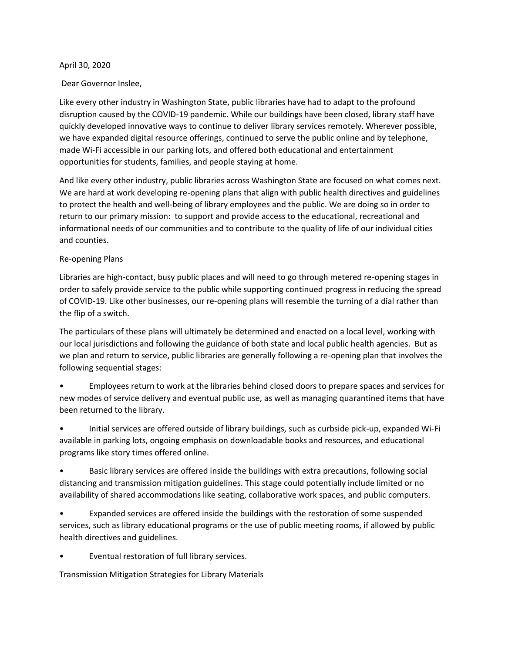#### April 30, 2020

### Dear Governor Inslee,

Like every other industry in Washington State, public libraries have had to adapt to the profound disruption caused by the COVID-19 pandemic. While our buildings have been closed, library staff have quickly developed innovative ways to continue to deliver library services remotely. Wherever possible, we have expanded digital resource offerings, continued to serve the public online and by telephone, made Wi-Fi accessible in our parking lots, and offered both educational and entertainment opportunities for students, families, and people staying at home.

And like every other industry, public libraries across Washington State are focused on what comes next. We are hard at work developing re-opening plans that align with public health directives and guidelines to protect the health and well-being of library employees and the public. We are doing so in order to return to our primary mission: to support and provide access to the educational, recreational and informational needs of our communities and to contribute to the quality of life of our individual cities and counties.

#### Re-opening Plans

Libraries are high-contact, busy public places and will need to go through metered re-opening stages in order to safely provide service to the public while supporting continued progress in reducing the spread of COVID-19. Like other businesses, our re-opening plans will resemble the turning of a dial rather than the flip of a switch.

The particulars of these plans will ultimately be determined and enacted on a local level, working with our local jurisdictions and following the guidance of both state and local public health agencies. But as we plan and return to service, public libraries are generally following a re-opening plan that involves the following sequential stages:

- Employees return to work at the libraries behind closed doors to prepare spaces and services for new modes of service delivery and eventual public use, as well as managing quarantined items that have been returned to the library.
- Initial services are offered outside of library buildings, such as curbside pick-up, expanded Wi-Fi available in parking lots, ongoing emphasis on downloadable books and resources, and educational programs like story times offered online.
- Basic library services are offered inside the buildings with extra precautions, following social distancing and transmission mitigation guidelines. This stage could potentially include limited or no availability of shared accommodations like seating, collaborative work spaces, and public computers.
- Expanded services are offered inside the buildings with the restoration of some suspended services, such as library educational programs or the use of public meeting rooms, if allowed by public health directives and guidelines.
- Eventual restoration of full library services.

Transmission Mitigation Strategies for Library Materials